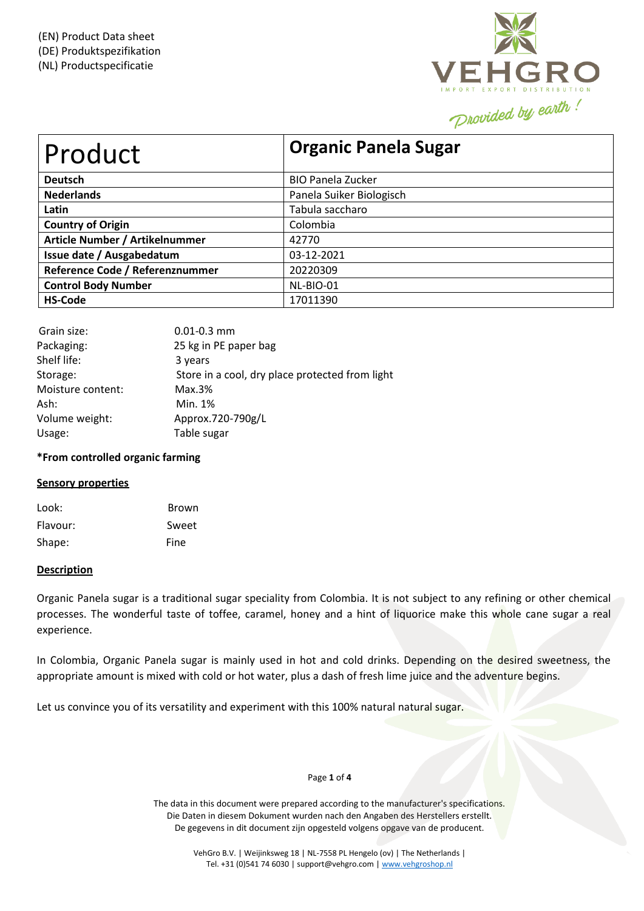

| Product                         | <b>Organic Panela Sugar</b> |  |  |
|---------------------------------|-----------------------------|--|--|
| <b>Deutsch</b>                  | <b>BIO Panela Zucker</b>    |  |  |
| <b>Nederlands</b>               | Panela Suiker Biologisch    |  |  |
| Latin                           | Tabula saccharo             |  |  |
| <b>Country of Origin</b>        | Colombia                    |  |  |
| Article Number / Artikelnummer  | 42770                       |  |  |
| Issue date / Ausgabedatum       | 03-12-2021                  |  |  |
| Reference Code / Referenznummer | 20220309                    |  |  |
| <b>Control Body Number</b>      | NL-BIO-01                   |  |  |
| <b>HS-Code</b>                  | 17011390                    |  |  |

| Grain size:       | $0.01 - 0.3$ mm                                 |
|-------------------|-------------------------------------------------|
| Packaging:        | 25 kg in PE paper bag                           |
| Shelf life:       | 3 years                                         |
| Storage:          | Store in a cool, dry place protected from light |
| Moisture content: | Max.3%                                          |
| Ash:              | Min. 1%                                         |
| Volume weight:    | Approx.720-790g/L                               |
| Usage:            | Table sugar                                     |

### **\*From controlled organic farming**

### **Sensory properties**

| Look:    | Brown |
|----------|-------|
| Flavour: | Sweet |
| Shape:   | Fine  |

### **Description**

Organic Panela sugar is a traditional sugar speciality from Colombia. It is not subject to any refining or other chemical processes. The wonderful taste of toffee, caramel, honey and a hint of liquorice make this whole cane sugar a real experience.

In Colombia, Organic Panela sugar is mainly used in hot and cold drinks. Depending on the desired sweetness, the appropriate amount is mixed with cold or hot water, plus a dash of fresh lime juice and the adventure begins.

Let us convince you of its versatility and experiment with this 100% natural natural sugar.

#### Page **1** of **4**

The data in this document were prepared according to the manufacturer's specifications. Die Daten in diesem Dokument wurden nach den Angaben des Herstellers erstellt. De gegevens in dit document zijn opgesteld volgens opgave van de producent.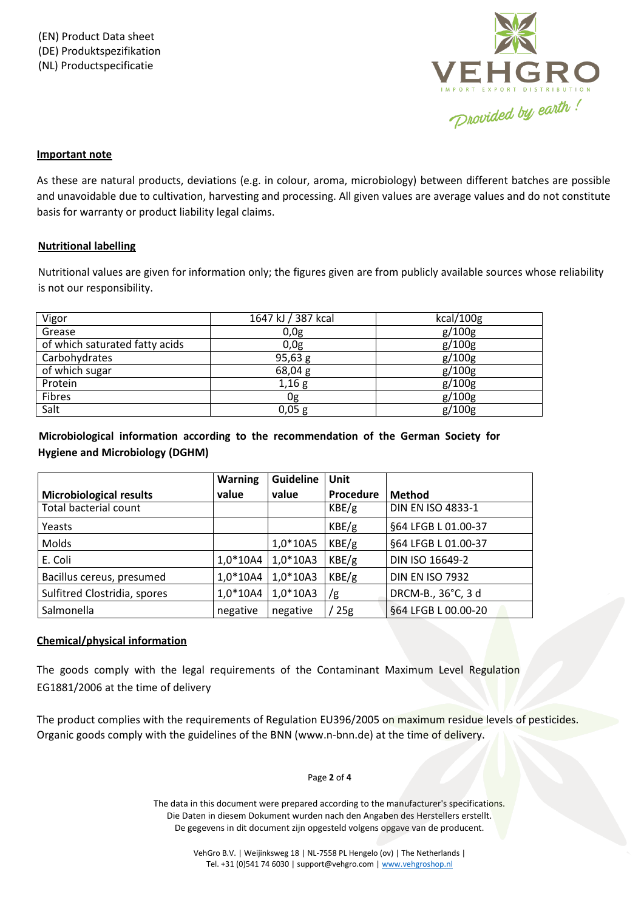

# **Important note**

As these are natural products, deviations (e.g. in colour, aroma, microbiology) between different batches are possible and unavoidable due to cultivation, harvesting and processing. All given values are average values and do not constitute basis for warranty or product liability legal claims.

## **Nutritional labelling**

Nutritional values are given for information only; the figures given are from publicly available sources whose reliability is not our responsibility.

| Vigor                          | 1647 kJ / 387 kcal | kcal/100g |
|--------------------------------|--------------------|-----------|
| Grease                         | 0,0g               | g/100g    |
| of which saturated fatty acids | 0,0g               | g/100g    |
| Carbohydrates                  | 95,63 g            | g/100g    |
| of which sugar                 | 68,04 g            | g/100g    |
| Protein                        | 1,16g              | g/100g    |
| Fibres                         | 0g                 | g/100g    |
| Salt                           | 0,05g              | g/100g    |

 **Microbiological information according to the recommendation of the German Society for Hygiene and Microbiology (DGHM)**

|                                | <b>Warning</b> | <b>Guideline</b> | Unit      |                          |
|--------------------------------|----------------|------------------|-----------|--------------------------|
| <b>Microbiological results</b> | value          | value            | Procedure | <b>Method</b>            |
| <b>Total bacterial count</b>   |                |                  | KBE/g     | <b>DIN EN ISO 4833-1</b> |
| Yeasts                         |                |                  | KBE/g     | §64 LFGB L 01.00-37      |
| Molds                          |                | $1,0*10A5$       | KBE/g     | §64 LFGB L 01.00-37      |
| E. Coli                        | $1,0*10A4$     | $1,0*10A3$       | KBE/g     | DIN ISO 16649-2          |
| Bacillus cereus, presumed      | $1,0*10A4$     | $1,0*10A3$       | KBE/g     | <b>DIN EN ISO 7932</b>   |
| Sulfitred Clostridia, spores   | $1,0*10A4$     | $1,0*10A3$       | /g        | DRCM-B., 36°C, 3 d       |
| Salmonella                     | negative       | negative         | 25g       | §64 LFGB L 00.00-20      |

# **Chemical/physical information**

The goods comply with the legal requirements of the Contaminant Maximum Level Regulation EG1881/2006 at the time of delivery

The product complies with the requirements of Regulation EU396/2005 on maximum residue levels of pesticides. Organic goods comply with the guidelines of the BNN (www.n-bnn.de) at the time of delivery.

### Page **2** of **4**

The data in this document were prepared according to the manufacturer's specifications. Die Daten in diesem Dokument wurden nach den Angaben des Herstellers erstellt. De gegevens in dit document zijn opgesteld volgens opgave van de producent.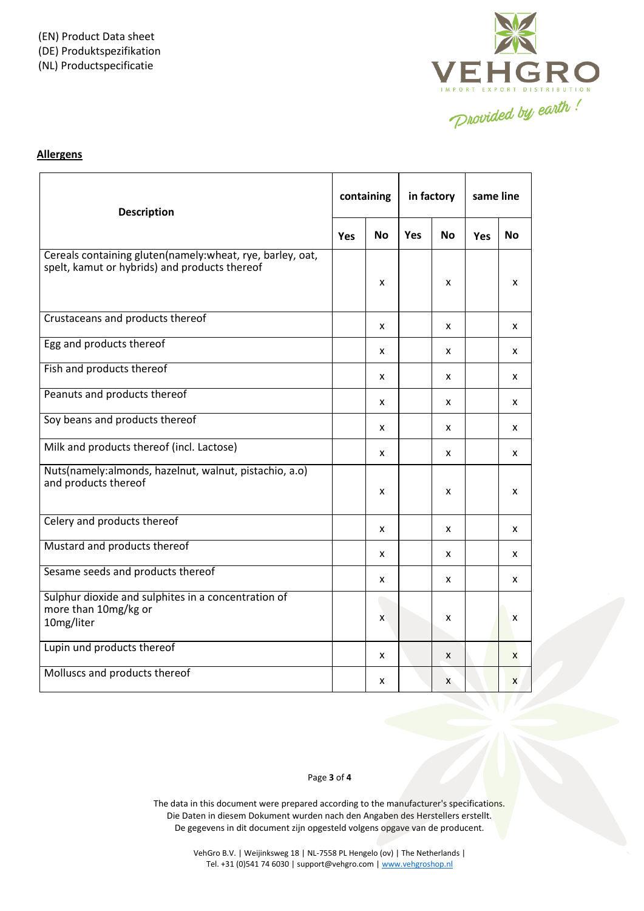

# **Allergens**

| <b>Description</b>                                                                                         |            | containing |            | in factory |            | same line |  |
|------------------------------------------------------------------------------------------------------------|------------|------------|------------|------------|------------|-----------|--|
|                                                                                                            | <b>Yes</b> | No.        | <b>Yes</b> | No.        | <b>Yes</b> | No.       |  |
| Cereals containing gluten(namely:wheat, rye, barley, oat,<br>spelt, kamut or hybrids) and products thereof |            | x          |            | x          |            | x         |  |
| Crustaceans and products thereof                                                                           |            | X          |            | X          |            | X         |  |
| Egg and products thereof                                                                                   |            | x          |            | x          |            | x         |  |
| Fish and products thereof                                                                                  |            | X          |            | x          |            | x         |  |
| Peanuts and products thereof                                                                               |            | X          |            | X          |            | x         |  |
| Soy beans and products thereof                                                                             |            | X          |            | <b>X</b>   |            | X         |  |
| Milk and products thereof (incl. Lactose)                                                                  |            | X          |            | X          |            | X         |  |
| Nuts(namely:almonds, hazelnut, walnut, pistachio, a.o)<br>and products thereof                             |            | x          |            | x          |            | x         |  |
| Celery and products thereof                                                                                |            | X          |            | X          |            | X         |  |
| Mustard and products thereof                                                                               |            | X          |            | X          |            | x         |  |
| Sesame seeds and products thereof                                                                          |            | x          |            | x          |            | x         |  |
| Sulphur dioxide and sulphites in a concentration of<br>more than 10mg/kg or<br>10mg/liter                  |            | x          |            | x          |            | x         |  |
| Lupin und products thereof                                                                                 |            | x          |            | X          |            | X         |  |
| Molluscs and products thereof                                                                              |            | x          |            | X          |            | X         |  |

### Page **3** of **4**

The data in this document were prepared according to the manufacturer's specifications. Die Daten in diesem Dokument wurden nach den Angaben des Herstellers erstellt. De gegevens in dit document zijn opgesteld volgens opgave van de producent.

> VehGro B.V. | Weijinksweg 18 | NL-7558 PL Hengelo (ov) | The Netherlands | Tel. +31 (0)541 74 6030 | support@vehgro.com [| www.vehgroshop.nl](http://www.vehgroshop.nl/)